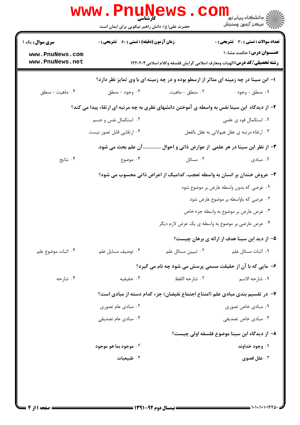|                                    | www . Pn<br>کارشناسی<br>حضرت علی(ع): دانش راهبر نیکویی برای ایمان است                       |                                                   | ڪ دانشڪاه پيام نور<br><mark>√</mark> مرڪز آزمون وسنڊش                                                                 |  |  |
|------------------------------------|---------------------------------------------------------------------------------------------|---------------------------------------------------|-----------------------------------------------------------------------------------------------------------------------|--|--|
| <b>سری سوال :</b> یک ۱             | <b>زمان آزمون (دقیقه) : تستی : 60 ٪ تشریحی : 0</b>                                          |                                                   | <b>تعداد سوالات : تستي : 30 ٪ تشريحي : 0</b>                                                                          |  |  |
| www.PnuNews.com<br>www.PnuNews.net |                                                                                             |                                                   | <b>عنـــوان درس:</b> حکمت مشاء ۱<br><b>رشته تحصیلی/کد درس: ا</b> لهیات ومعارف اسلامی گرایش فلسفه وکلام اسلامی ۱۲۲۰۲۰۳ |  |  |
|                                    | ۱– ابن سینا در چه زمینه ای متاثر از ارسطو بوده و در چه زمینه ای با وی تمایز نظر دارد؟       |                                                   |                                                                                                                       |  |  |
| ۰۴ ماهيت - منطق                    | ۰۳ وجود - منطق                                                                              | ۰۲ منطق - ماهيت                                   | ۰۱ منطق - وجود                                                                                                        |  |  |
|                                    | ۲- از دیدگاه ابن سینا نفس به واسطه ی آموختن دانشهای نظری به چه مرتبه ای ارتقاء پیدا می کند؟ |                                                   |                                                                                                                       |  |  |
|                                    | ۰۲ استکمال نفس و جسم                                                                        |                                                   | ۰۱ استکمال قوه ی علمی                                                                                                 |  |  |
|                                    | ۰۴ ارتقایی قابل تصور نیست                                                                   |                                                   | ۰۳ ارتقاء مرتبه ي عقل هيولاني به عقل بالفعل                                                                           |  |  |
|                                    | .آن علم بحث می شود.                                                                         |                                                   | ۰۳ از نظر ابن سینا در هر علمی از عوارض ذاتی و احوال                                                                   |  |  |
| ۰۴ نتایج                           | ۰۳ موضوع                                                                                    | ۰۲ مسائل                                          | ۰۱ مبادی                                                                                                              |  |  |
|                                    |                                                                                             |                                                   | ۴- عروض خندان بر انسان به واسطه تعجب، کدامیک از اعراض ذاتی محسوب می شود؟                                              |  |  |
|                                    |                                                                                             |                                                   | ۰۱ عرضی که بدون واسطه عارض بر موضوع شود                                                                               |  |  |
|                                    |                                                                                             |                                                   | ۰۲ عرضی که باواسطه بر موضوع عارض شود                                                                                  |  |  |
|                                    |                                                                                             |                                                   | ۰۳ عرض عارض بر موضوع به واسطه جزء خاص                                                                                 |  |  |
|                                    |                                                                                             | ۰۴ عرض عارضي بر موضوع به واسطه ي يک عرض لازم ديگر |                                                                                                                       |  |  |
|                                    |                                                                                             |                                                   | ۵– از دید ابن سینا هدف از ارائه ی برهان چیست؟                                                                         |  |  |
| ۰۴ اثبات موضوع علم                 | ۰۳ توصيف مسايل علم                                                                          | ٠٢ تبيين مسائل علم                                | <b>۱</b> . اثبات مسائل علم                                                                                            |  |  |
|                                    |                                                                                             |                                                   | ۶- مایی که با آن از حقیقت مسمی پرسش می شود چه نام می گیرد؟                                                            |  |  |
| ۰۴ شارحه                           | ۰۳ حقیقیه                                                                                   | ٢. شارحه اللفظ                                    | ١. شارحه الاسم                                                                                                        |  |  |
|                                    |                                                                                             |                                                   | ٧− در تقسیم بندی مبادی علم (امتناع اجتماع نقیضان) جزء کدام دسته از مبادی است؟                                         |  |  |
|                                    | ۰۲ مبادی عام تصوری                                                                          |                                                   | ۰۱ مبادی خاص تصوری                                                                                                    |  |  |
|                                    | ۰۴ مبادی عام تصدیقی                                                                         |                                                   | ۰۳ مبادی خاص تصدیقی                                                                                                   |  |  |
|                                    |                                                                                             |                                                   | ٨− از دیدگاه ابن سینا موضوع فلسفه اولی چیست؟                                                                          |  |  |
|                                    | ۰۲ موجود بما هو موجود                                                                       |                                                   | ۰۱ وجود خداوند                                                                                                        |  |  |
|                                    | ۰۴ طبیعیات                                                                                  |                                                   | ۰۳ علل قصوی                                                                                                           |  |  |
|                                    |                                                                                             |                                                   |                                                                                                                       |  |  |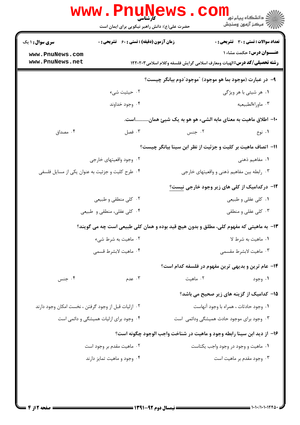|                                                     | www.Pnul<br><b>کارشناسی</b><br>حضرت علی(ع): دانش راهبر نیکویی برای ایمان است           | <b>ews</b>                                                                       | ري دانشڪاه پيام نور<br>اڳ مرکز آزمون وسنجش   |
|-----------------------------------------------------|----------------------------------------------------------------------------------------|----------------------------------------------------------------------------------|----------------------------------------------|
| <b>سری سوال : ۱ یک</b>                              | <b>زمان آزمون (دقیقه) : تستی : 60 ٪ تشریحی : 0</b>                                     |                                                                                  | <b>تعداد سوالات : تستی : 30 ٪ تشریحی : 0</b> |
| www.PnuNews.com<br>www.PnuNews.net                  |                                                                                        | <b>رشته تحصیلی/کد درس:</b> الهیات ومعارف اسلامی گرایش فلسفه وکلام اسلامی ۱۲۲۰۲۰۳ | <b>عنـــوان درس:</b> حکمت مشاء ۱             |
|                                                     |                                                                                        | ۹- در عبارت (موجود بما هو موجود) "موجود"دوم بيانگر چيست؟                         |                                              |
|                                                     | ۰۲ حیثیت شیء                                                                           |                                                                                  | ۰۱ هر شیئی با هر ویژگی                       |
|                                                     | ۰۴ وجود خداوند                                                                         |                                                                                  | ۰۳ ماوراءالطبيعيه                            |
|                                                     |                                                                                        | ∙ا− اطلاق ماهیت به معنای مابه الشیء هو هو به یک شیئ هماناست.                     |                                              |
| ۰۴ مصداق                                            | ۰۳ فصل                                                                                 | ۰۲ جنس                                                                           | ۰۱ نوع                                       |
|                                                     |                                                                                        | 11- اتصاف ماهیت بر کلیت و جزئیت از نظر ابن سینا بیانگر چیست؟                     |                                              |
|                                                     | ۰۲ وجود واقعیتهای خارجی                                                                |                                                                                  | ۰۱ مفاهیم ذهن <i>ی</i>                       |
| ۰۴ طرح کلیت و جزئیت به عنوان یکی از مسایل فلسفی     |                                                                                        | ۰۳ رابطه بین مفاهیم ذهنی و واقعیتهای خارجی                                       |                                              |
|                                                     |                                                                                        | <b>۱۲</b> - درکدامیک از کلی های زیر وجود خارجی نیست؟                             |                                              |
|                                                     | ۰۲ کلی منطقی و طبیعی                                                                   |                                                                                  | ۰۱ کلی عقلی و طبیعی                          |
|                                                     | ۰۴ کلی عقلی، منطقی و طبیعی                                                             |                                                                                  | ۰۳ کلی عقلی و منطقی                          |
|                                                     | ۱۳- به ماهیتی که مفهوم کلی، مطلق و بدون هیچ قید بوده و همان کلی طبیعی است چه می گویند؟ |                                                                                  |                                              |
|                                                     | ۰۲ ماهیت به شرط شیء                                                                    |                                                                                  | ٠١. ماهيت به شرط لا                          |
|                                                     | ۰۴ ماهيت لابشرط قسمي                                                                   |                                                                                  | ۰۳ ماهيت لابشرط مقسمي                        |
|                                                     |                                                                                        | <b>۱۴</b> - عام ترین و بدیهی ترین مفهوم در فلسفه کدام است؟                       |                                              |
| ۰۴ جنس                                              | ۰۳ عدم                                                                                 | ۰۲ ماهيت                                                                         | ۰۱ وجود                                      |
|                                                     |                                                                                        | 1۵– کدامیک از گزینه های زیر صحیح می باشد؟                                        |                                              |
| ۰۲ ازلیات قبل از وجود گرفتن ، نخست امکان وجود دارند |                                                                                        | ٠١ وجود حادثات ، همراه با وجود آنهاست                                            |                                              |
|                                                     | ۰۴ وجود برای ازلیات همیشگی و دائمی است                                                 | ۰۳ وجود برای موجود حادث همیشگی ودائمی است                                        |                                              |
|                                                     |                                                                                        | ۱۶– از دید ابن سینا رابطه وجود و ماهیت در شناخت واجب الوجود چگونه است؟           |                                              |
|                                                     | ۰۲ ماهیت مقدم بر وجود است                                                              | ۰۱ ماهیت و وجود در وجود واجب یکتاست                                              |                                              |
|                                                     | ۰۴ وجود و ماهیت تمایز دارند                                                            |                                                                                  | ۰۳ وجود مقدم بر ماهیت است                    |
|                                                     |                                                                                        |                                                                                  |                                              |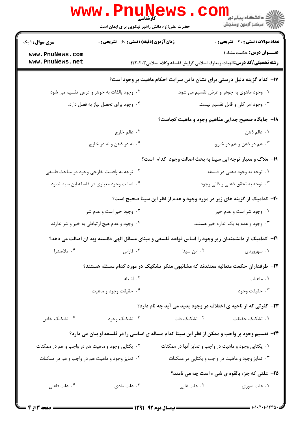|                                                  | حضرت علی(ع): دانش راهبر نیکویی برای ایمان است |                                      | دانشگاه پيام نور <mark>−</mark><br> <br> √ مرکز آزمون وسنجش                                                           |
|--------------------------------------------------|-----------------------------------------------|--------------------------------------|-----------------------------------------------------------------------------------------------------------------------|
| سری سوال: ۱ یک                                   | زمان آزمون (دقیقه) : تستی : 60 ٪ تشریحی : 0   |                                      | <b>تعداد سوالات : تستی : 30 ٪ تشریحی : 0</b>                                                                          |
| www.PnuNews.com<br>www.PnuNews.net               |                                               |                                      | <b>عنـــوان درس:</b> حکمت مشاء ۱<br><b>رشته تحصیلی/کد درس: ا</b> لهیات ومعارف اسلامی گرایش فلسفه وکلام اسلامی ۱۲۲۰۲۰۳ |
|                                                  |                                               |                                      | ۱۷– کدام گزینه دلیل درستی برای نشان دادن سرایت احکام ماهیت بر وجود است؟                                               |
|                                                  | ۰۲ وجود بالذات به جوهر و عرض تقسیم می شود     |                                      | ۰۱ وجود ماهوی به جوهر و عرض تقسیم می شود.                                                                             |
|                                                  | ۰۴ وجود برای تحصل نیاز به فصل دارد.           |                                      | ۰۳ وجود امر کلی و قابل تقسیم نیست.                                                                                    |
|                                                  |                                               |                                      | <b>۱۸</b> - جایگاه صحیح جدایی مفاهیم وجود و ماهیت کجاست؟                                                              |
|                                                  | ۲. عالم خارج                                  |                                      | <b>۱</b> . عالم ذهن                                                                                                   |
|                                                  | ۰۴ نه در ذهن و نه در خارج                     |                                      | ۰۳ هم در ذهن و هم در خارج                                                                                             |
|                                                  |                                               |                                      | ۱۹- ملاک و معیار توجه ابن سینا به بحث اصالت وجود کدام است؟                                                            |
|                                                  | ۲.  توجه به واقعیت خارجی وجود در مباحث فلسفی  | ۰۱ توجه به وجود ذهنی در فلسفه        |                                                                                                                       |
|                                                  | ۰۴ اصالت وجود معیاری در فلسفه ابن سینا ندارد  | ۰۳ توجه به تحقق ذهنی و ذاتی وجود     |                                                                                                                       |
|                                                  |                                               |                                      | +۲- کدامیک از گزینه های زیر در مورد وجود و عدم از نظر ابن سینا صحیح است؟                                              |
|                                                  | ۰۲ وجود خیر است و عدم شر                      |                                      | ۰۱ وجود شر است و عدم خیر                                                                                              |
|                                                  | ۰۴ وجود و عدم هیچ ارتباطی به خیر و شر ندارند  | ۰۳ وجود و عدم به یک اندازه خیر هستند |                                                                                                                       |
|                                                  |                                               |                                      | 21− کدامیک از دانشمندان زیر وجود را اساس قواعد فلسفی و مبنای مسائل الهی دانسته وبه آن اصالت می دهد؟                   |
| ۰۴ ملاصدرا                                       | ۰۳ فارابی                                     | ۰۲ ابن سینا                          | ۰۱ سهروردی                                                                                                            |
|                                                  |                                               |                                      | ۲۲– طرفداران حکمت متعالیه معتقدند که مشائیون منکر تشکیک در مورد کدام مسئله هستند؟                                     |
|                                                  | ۰۲ اشیاء                                      |                                      | ۰۱ ماهیات                                                                                                             |
|                                                  | ۰۴ حقیقت وجود و ماهیت                         |                                      | ۰۳ حقيقت وجود                                                                                                         |
|                                                  |                                               |                                      | ۲۳- کثرتی که از ناحیه ی اختلاف در وجود پدید می آید چه نام دارد؟                                                       |
| ۰۴ تشکیک خاص                                     | ۰۳ تشکیک وجود                                 | ۰۲ تشکیک ذات                         | ۰۱ تشکیک حقیقت                                                                                                        |
|                                                  |                                               |                                      | ۲۴- تقسیم وجود بر واجب و ممکن از نظر ابن سینا کدام مساله ی اساسی را در فلسفه او بیان می دارد؟                         |
| ۰۲ یکتایی وجود و ماهیت هم در واجب و هم در ممکنات |                                               |                                      | ۰۱ یکتایی وجود و ماهیت در واجب و تمایز آنها در ممکنات                                                                 |
| ۰۴ تمایز وجود و ماهیت هم در واجب و هم در ممکنات  |                                               |                                      | ۰۳ تمایز وجود و ماهیت در واجب و یکتایی در ممکنات                                                                      |
|                                                  |                                               |                                      | ۲۵- علتی که جزء بالقوه ی شی ء است چه می نامند؟                                                                        |
| ۰۴ علت فاعلی                                     | ۰۳ علت مادی                                   | ۰۲ علت غایی                          | ۰۱ علت صوری                                                                                                           |